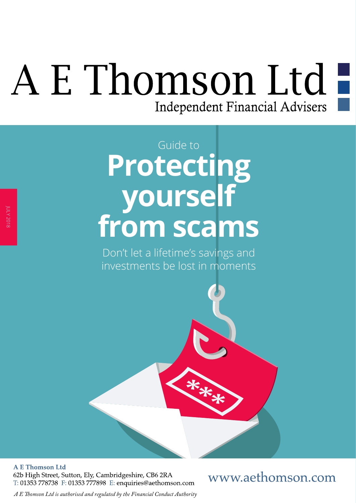# A E Thomson Ltd-Independent Financial Advisers

## **Protecting yourself from scams** Guide to

Don't let a lifetime's savings and investments be lost in moments

**A E Thomson Ltd** 62b High Street, Sutton, Ely, Cambridgeshire, CB6 2RA T: 01353 778738 F: 01353 777898 E: enquiries@aethomson.com

### www.aethomson.com

*A E Tomson Ltd is authorised and regulated by the Financial Conduct Authority*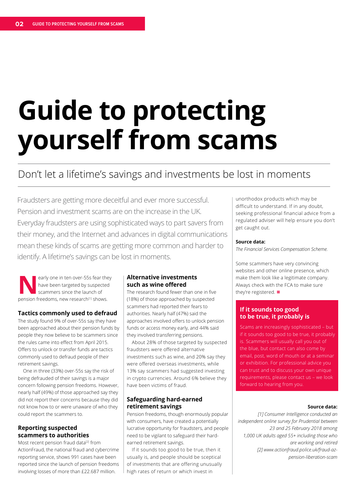# **Guide to protecting yourself from scams**

### Don't let a lifetime's savings and investments be lost in moments

Fraudsters are getting more deceitful and ever more successful. Pension and investment scams are on the increase in the UK. Everyday fraudsters are using sophisticated ways to part savers from their money, and the Internet and advances in digital communications mean these kinds of scams are getting more common and harder to identify. A lifetime's savings can be lost in moments.

early one in ten over-55s fear they have been targeted by suspected scammers since the launch of pension freedoms, new research<sup>[1]</sup> shows.

#### **Tactics commonly used to defraud**

The study found 9% of over-55s say they have been approached about their pension funds by people they now believe to be scammers since the rules came into efect from April 2015. Ofers to unlock or transfer funds are tactics commonly used to defraud people of their retirement savings.

One in three (33%) over-55s say the risk of being defrauded of their savings is a major concern following pension freedoms. However, nearly half (49%) of those approached say they did not report their concerns because they did not know how to or were unaware of who they could report the scammers to.

#### **Reporting suspected scammers to authorities**

Most recent pension fraud data<sup>[2]</sup> from ActionFraud, the national fraud and cybercrime reporting service, shows 991 cases have been reported since the launch of pension freedoms involving losses of more than £22.687 million.

#### **Alternative investments such as wine ofered**

The research found fewer than one in fve (18%) of those approached by suspected scammers had reported their fears to authorities. Nearly half (47%) said the approaches involved offers to unlock pension funds or access money early, and 44% said they involved transferring pensions.

About 28% of those targeted by suspected fraudsters were offered alternative investments such as wine, and 20% say they were offered overseas investments, while 13% say scammers had suggested investing in crypto currencies. Around 6% believe they have been victims of fraud.

#### **Safeguarding hard-earned retirement savings**

Pension freedoms, though enormously popular with consumers, have created a potentially lucrative opportunity for fraudsters, and people need to be vigilant to safeguard their hardearned retirement savings.

If it sounds too good to be true, then it usually is, and people should be sceptical of investments that are offering unusually high rates of return or which invest in

unorthodox products which may be difficult to understand. If in any doubt, seeking professional financial advice from a regulated adviser will help ensure you don't get caught out.

#### **Source data:**

*The Financial Services Compensation Scheme.*

Some scammers have very convincing websites and other online presence, which make them look like a legitimate company. Always check with the FCA to make sure they're registered.  $\blacksquare$ 

#### **If it sounds too good to be true, it probably is**

Scams are increasingly sophisticated – but if it sounds too good to be true, it probably is. Scammers will usually call you out of the blue, but contact can also come by email, post, word of mouth or at a seminar or exhibition. For professional advice you can trust and to discuss your own unique requirements, please contact us – we look forward to hearing from you.

#### **Source data:**

*[1] Consumer Intelligence conducted an independent online survey for Prudential between 23 and 25 February 2018 among 1,000 UK adults aged 55+ including those who are working and retired [2] www.actionfraud.police.uk/fraud-azpension-liberation-scam*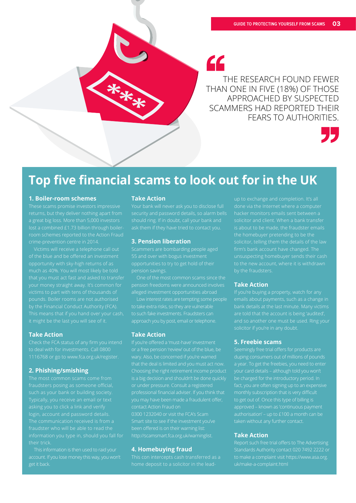44

THE RESEARCH FOUND FEWER THAN ONE IN FIVE (18%) OF THOSE APPROACHED BY SUSPECTED SCAMMERS HAD REPORTED THEIR FEARS TO AUTHORITIES.



## **Top five financial scams to look out for in the UK**

#### **1. Boiler-room schemes**

returns, but they deliver nothing apart from a great big loss. More than 5,000 investors lost a combined £1.73 billion through boiler-

opportunity with sky-high returns of as

#### **Take Action**

#### **2. Phishing/smishing**

The communication received is from a

#### **Take Action**

security and password details, so alarm bells

#### **3. Pension liberation**

pension savings.

pension freedoms were announced involves

to such fake investments. Fraudsters can

#### **Take Action**

that the deal is limited and you must act now. Choosing the right retirement income product

Smart site to see if the investment you've been offered is on their warning list:

#### **4. Homebuying fraud**

home deposit to a solicitor in the lead-

hacker monitors emails sent between a solicitor and client. When a bank transfer

#### **Take Action**

are told that the account is being 'audited',

#### **5. Freebie scams**

a year. To get the freebies, you need to enter your card details – although told you won't

#### **Take Action**